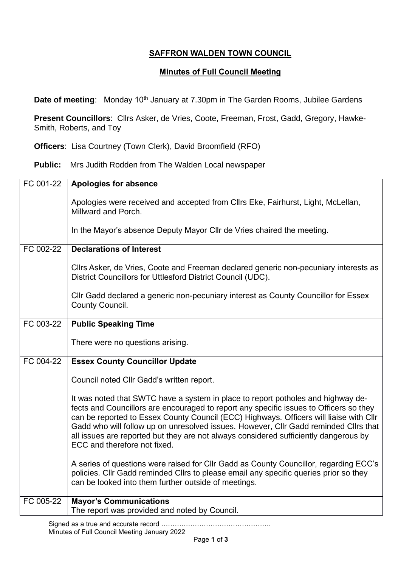## **SAFFRON WALDEN TOWN COUNCIL**

## **Minutes of Full Council Meeting**

**Date of meeting:** Monday 10<sup>th</sup> January at 7.30pm in The Garden Rooms, Jubilee Gardens

**Present Councillors**: Cllrs Asker, de Vries, Coote, Freeman, Frost, Gadd, Gregory, Hawke-Smith, Roberts, and Toy

**Officers**: Lisa Courtney (Town Clerk), David Broomfield (RFO)

**Public:** Mrs Judith Rodden from The Walden Local newspaper

| FC 001-22 | Apologies for absence                                                                                                                                                                                                                                                                                                                                                                                                                                                                |
|-----------|--------------------------------------------------------------------------------------------------------------------------------------------------------------------------------------------------------------------------------------------------------------------------------------------------------------------------------------------------------------------------------------------------------------------------------------------------------------------------------------|
|           | Apologies were received and accepted from Cllrs Eke, Fairhurst, Light, McLellan,<br>Millward and Porch.                                                                                                                                                                                                                                                                                                                                                                              |
|           | In the Mayor's absence Deputy Mayor Cllr de Vries chaired the meeting.                                                                                                                                                                                                                                                                                                                                                                                                               |
| FC 002-22 | <b>Declarations of Interest</b>                                                                                                                                                                                                                                                                                                                                                                                                                                                      |
|           | Cllrs Asker, de Vries, Coote and Freeman declared generic non-pecuniary interests as<br>District Councillors for Uttlesford District Council (UDC).                                                                                                                                                                                                                                                                                                                                  |
|           | CIIr Gadd declared a generic non-pecuniary interest as County Councillor for Essex<br>County Council.                                                                                                                                                                                                                                                                                                                                                                                |
| FC 003-22 | <b>Public Speaking Time</b>                                                                                                                                                                                                                                                                                                                                                                                                                                                          |
|           | There were no questions arising.                                                                                                                                                                                                                                                                                                                                                                                                                                                     |
| FC 004-22 | <b>Essex County Councillor Update</b>                                                                                                                                                                                                                                                                                                                                                                                                                                                |
|           | Council noted Cllr Gadd's written report.                                                                                                                                                                                                                                                                                                                                                                                                                                            |
|           | It was noted that SWTC have a system in place to report potholes and highway de-<br>fects and Councillors are encouraged to report any specific issues to Officers so they<br>can be reported to Essex County Council (ECC) Highways. Officers will liaise with Cllr<br>Gadd who will follow up on unresolved issues. However, Cllr Gadd reminded Cllrs that<br>all issues are reported but they are not always considered sufficiently dangerous by<br>ECC and therefore not fixed. |
|           | A series of questions were raised for Cllr Gadd as County Councillor, regarding ECC's<br>policies. Cllr Gadd reminded Cllrs to please email any specific queries prior so they<br>can be looked into them further outside of meetings.                                                                                                                                                                                                                                               |
| FC 005-22 | <b>Mayor's Communications</b><br>The report was provided and noted by Council.                                                                                                                                                                                                                                                                                                                                                                                                       |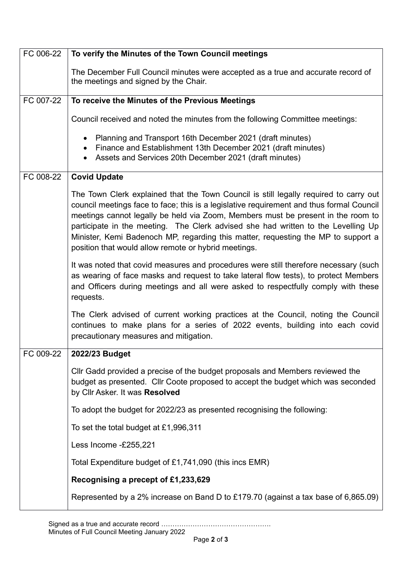| FC 006-22 | To verify the Minutes of the Town Council meetings                                                                                                                                                                                                                                                                                                                                                                                                                                                      |
|-----------|---------------------------------------------------------------------------------------------------------------------------------------------------------------------------------------------------------------------------------------------------------------------------------------------------------------------------------------------------------------------------------------------------------------------------------------------------------------------------------------------------------|
|           | The December Full Council minutes were accepted as a true and accurate record of<br>the meetings and signed by the Chair.                                                                                                                                                                                                                                                                                                                                                                               |
| FC 007-22 | To receive the Minutes of the Previous Meetings                                                                                                                                                                                                                                                                                                                                                                                                                                                         |
|           | Council received and noted the minutes from the following Committee meetings:                                                                                                                                                                                                                                                                                                                                                                                                                           |
|           | Planning and Transport 16th December 2021 (draft minutes)<br>Finance and Establishment 13th December 2021 (draft minutes)<br>Assets and Services 20th December 2021 (draft minutes)                                                                                                                                                                                                                                                                                                                     |
| FC 008-22 | <b>Covid Update</b>                                                                                                                                                                                                                                                                                                                                                                                                                                                                                     |
|           | The Town Clerk explained that the Town Council is still legally required to carry out<br>council meetings face to face; this is a legislative requirement and thus formal Council<br>meetings cannot legally be held via Zoom, Members must be present in the room to<br>participate in the meeting. The Clerk advised she had written to the Levelling Up<br>Minister, Kemi Badenoch MP, regarding this matter, requesting the MP to support a<br>position that would allow remote or hybrid meetings. |
|           | It was noted that covid measures and procedures were still therefore necessary (such<br>as wearing of face masks and request to take lateral flow tests), to protect Members<br>and Officers during meetings and all were asked to respectfully comply with these<br>requests.                                                                                                                                                                                                                          |
|           | The Clerk advised of current working practices at the Council, noting the Council<br>continues to make plans for a series of 2022 events, building into each covid<br>precautionary measures and mitigation.                                                                                                                                                                                                                                                                                            |
| FC 009-22 | 2022/23 Budget                                                                                                                                                                                                                                                                                                                                                                                                                                                                                          |
|           | CIIr Gadd provided a precise of the budget proposals and Members reviewed the<br>budget as presented. Cllr Coote proposed to accept the budget which was seconded<br>by Cllr Asker. It was Resolved                                                                                                                                                                                                                                                                                                     |
|           | To adopt the budget for 2022/23 as presented recognising the following:                                                                                                                                                                                                                                                                                                                                                                                                                                 |
|           | To set the total budget at £1,996,311                                                                                                                                                                                                                                                                                                                                                                                                                                                                   |
|           | Less Income -£255,221                                                                                                                                                                                                                                                                                                                                                                                                                                                                                   |
|           | Total Expenditure budget of £1,741,090 (this incs EMR)                                                                                                                                                                                                                                                                                                                                                                                                                                                  |
|           | Recognising a precept of £1,233,629                                                                                                                                                                                                                                                                                                                                                                                                                                                                     |
|           | Represented by a 2% increase on Band D to £179.70 (against a tax base of 6,865.09)                                                                                                                                                                                                                                                                                                                                                                                                                      |